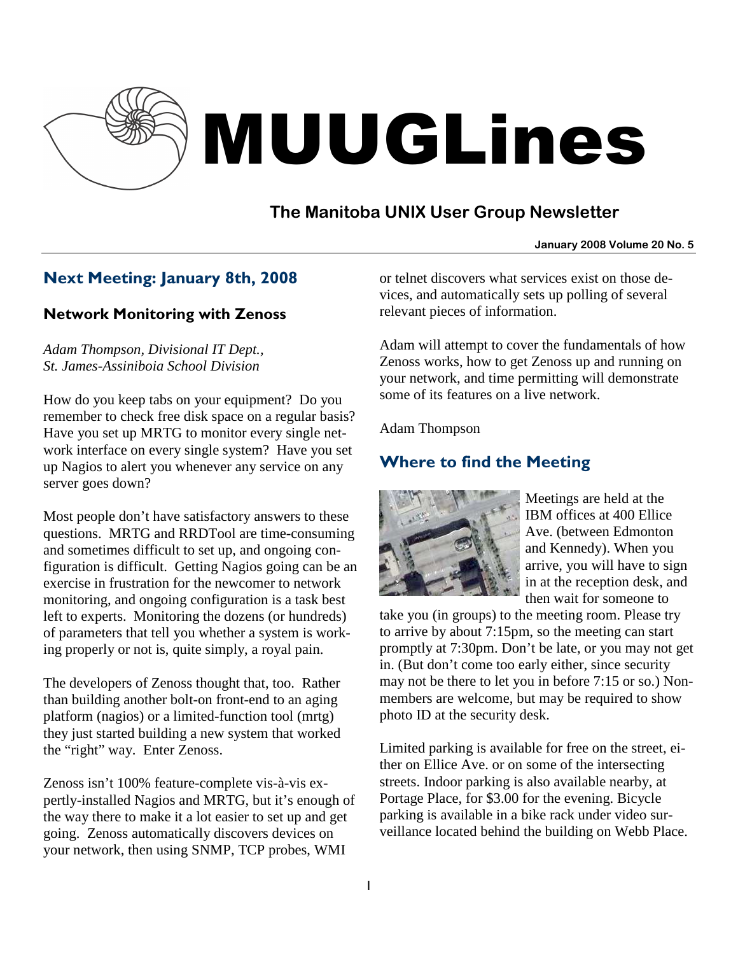

# MUUGLines

# **The Manitoba UNIX User Group Newsletter**

### **January 2008 Volume 20 No. 5**

# Next Meeting: January 8th, 2008

### Network Monitoring with Zenoss

*Adam Thompson, Divisional IT Dept., St. James-Assiniboia School Division* 

How do you keep tabs on your equipment? Do you remember to check free disk space on a regular basis? Have you set up MRTG to monitor every single network interface on every single system? Have you set up Nagios to alert you whenever any service on any server goes down?

Most people don't have satisfactory answers to these questions. MRTG and RRDTool are time-consuming and sometimes difficult to set up, and ongoing configuration is difficult. Getting Nagios going can be an exercise in frustration for the newcomer to network monitoring, and ongoing configuration is a task best left to experts. Monitoring the dozens (or hundreds) of parameters that tell you whether a system is working properly or not is, quite simply, a royal pain.

The developers of Zenoss thought that, too. Rather than building another bolt-on front-end to an aging platform (nagios) or a limited-function tool (mrtg) they just started building a new system that worked the "right" way. Enter Zenoss.

Zenoss isn't 100% feature-complete vis-à-vis expertly-installed Nagios and MRTG, but it's enough of the way there to make it a lot easier to set up and get going. Zenoss automatically discovers devices on your network, then using SNMP, TCP probes, WMI

or telnet discovers what services exist on those devices, and automatically sets up polling of several relevant pieces of information.

Adam will attempt to cover the fundamentals of how Zenoss works, how to get Zenoss up and running on your network, and time permitting will demonstrate some of its features on a live network.

Adam Thompson

# Where to find the Meeting



Meetings are held at the IBM offices at 400 Ellice Ave. (between Edmonton and Kennedy). When you arrive, you will have to sign in at the reception desk, and then wait for someone to

take you (in groups) to the meeting room. Please try to arrive by about 7:15pm, so the meeting can start promptly at 7:30pm. Don't be late, or you may not get in. (But don't come too early either, since security may not be there to let you in before 7:15 or so.) Nonmembers are welcome, but may be required to show photo ID at the security desk.

Limited parking is available for free on the street, either on Ellice Ave. or on some of the intersecting streets. Indoor parking is also available nearby, at Portage Place, for \$3.00 for the evening. Bicycle parking is available in a bike rack under video surveillance located behind the building on Webb Place.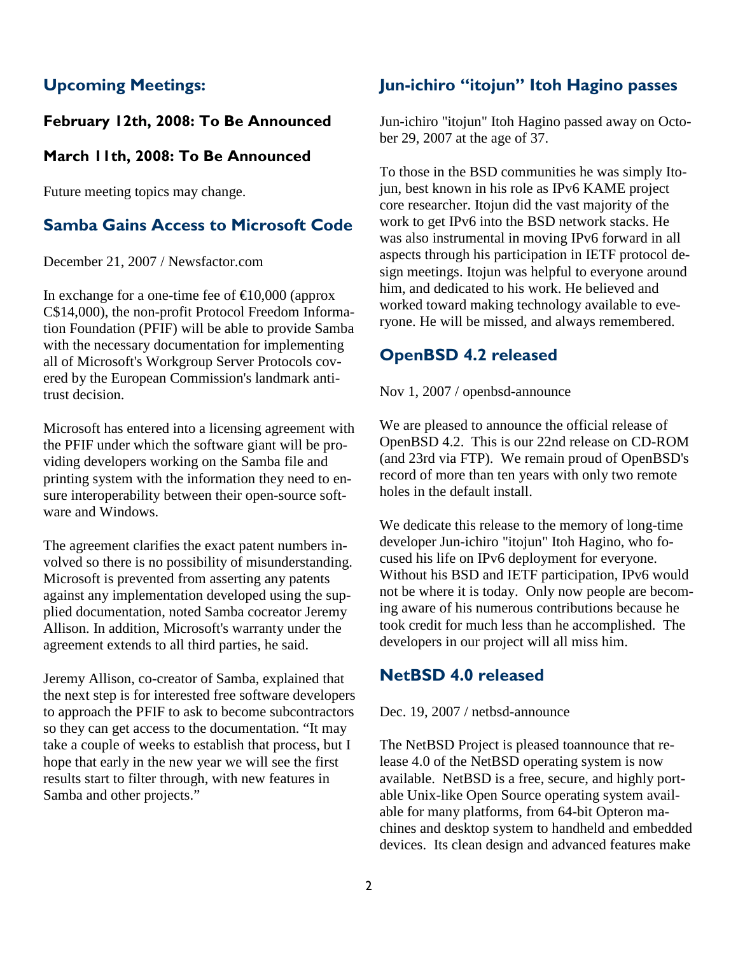# Upcoming Meetings:

### February 12th, 2008: To Be Announced

### March 11th, 2008: To Be Announced

Future meeting topics may change.

# Samba Gains Access to Microsoft Code

December 21, 2007 / Newsfactor.com

In exchange for a one-time fee of  $\epsilon$ 10,000 (approx C\$14,000), the non-profit Protocol Freedom Information Foundation (PFIF) will be able to provide Samba with the necessary documentation for implementing all of Microsoft's Workgroup Server Protocols covered by the European Commission's landmark antitrust decision.

Microsoft has entered into a licensing agreement with the PFIF under which the software giant will be providing developers working on the Samba file and printing system with the information they need to ensure interoperability between their open-source software and Windows.

The agreement clarifies the exact patent numbers involved so there is no possibility of misunderstanding. Microsoft is prevented from asserting any patents against any implementation developed using the supplied documentation, noted Samba cocreator Jeremy Allison. In addition, Microsoft's warranty under the agreement extends to all third parties, he said.

Jeremy Allison, co-creator of Samba, explained that the next step is for interested free software developers to approach the PFIF to ask to become subcontractors so they can get access to the documentation. "It may take a couple of weeks to establish that process, but I hope that early in the new year we will see the first results start to filter through, with new features in Samba and other projects."

### Jun-ichiro "itojun" Itoh Hagino passes

Jun-ichiro "itojun" Itoh Hagino passed away on October 29, 2007 at the age of 37.

To those in the BSD communities he was simply Itojun, best known in his role as IPv6 KAME project core researcher. Itojun did the vast majority of the work to get IPv6 into the BSD network stacks. He was also instrumental in moving IPv6 forward in all aspects through his participation in IETF protocol design meetings. Itojun was helpful to everyone around him, and dedicated to his work. He believed and worked toward making technology available to everyone. He will be missed, and always remembered.

## OpenBSD 4.2 released

Nov 1, 2007 / openbsd-announce

We are pleased to announce the official release of OpenBSD 4.2. This is our 22nd release on CD-ROM (and 23rd via FTP). We remain proud of OpenBSD's record of more than ten years with only two remote holes in the default install.

We dedicate this release to the memory of long-time developer Jun-ichiro "itojun" Itoh Hagino, who focused his life on IPv6 deployment for everyone. Without his BSD and IETF participation, IPv6 would not be where it is today. Only now people are becoming aware of his numerous contributions because he took credit for much less than he accomplished. The developers in our project will all miss him.

### NetBSD 4.0 released

Dec. 19, 2007 / netbsd-announce

The NetBSD Project is pleased toannounce that release 4.0 of the NetBSD operating system is now available. NetBSD is a free, secure, and highly portable Unix-like Open Source operating system available for many platforms, from 64-bit Opteron machines and desktop system to handheld and embedded devices. Its clean design and advanced features make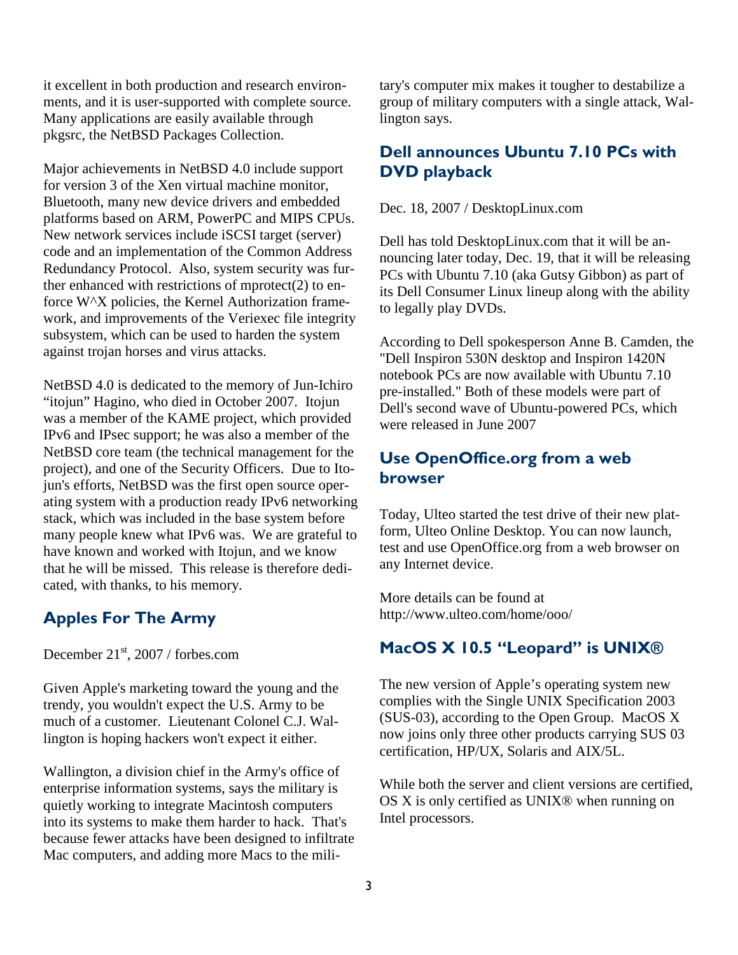it excellent in both production and research environments, and it is user-supported with complete source. Many applications are easily available through pkgsrc, the NetBSD Packages Collection.

Major achievements in NetBSD 4.0 include support for version 3 of the Xen virtual machine monitor, Bluetooth, many new device drivers and embedded platforms based on ARM, PowerPC and MIPS CPUs. New network services include iSCSI target (server) code and an implementation of the Common Address Redundancy Protocol. Also, system security was further enhanced with restrictions of mprotect(2) to enforce W^X policies, the Kernel Authorization framework, and improvements of the Veriexec file integrity subsystem, which can be used to harden the system against trojan horses and virus attacks.

NetBSD 4.0 is dedicated to the memory of Jun-Ichiro "itojun" Hagino, who died in October 2007. Itojun was a member of the KAME project, which provided IPv6 and IPsec support; he was also a member of the NetBSD core team (the technical management for the project), and one of the Security Officers. Due to Itojun's efforts, NetBSD was the first open source operating system with a production ready IPv6 networking stack, which was included in the base system before many people knew what IPv6 was. We are grateful to have known and worked with Itojun, and we know that he will be missed. This release is therefore dedicated, with thanks, to his memory.

### Apples For The Army

December  $21<sup>st</sup>$ , 2007 / forbes.com

Given Apple's marketing toward the young and the trendy, you wouldn't expect the U.S. Army to be much of a customer. Lieutenant Colonel C.J. Wallington is hoping hackers won't expect it either.

Wallington, a division chief in the Army's office of enterprise information systems, says the military is quietly working to integrate Macintosh computers into its systems to make them harder to hack. That's because fewer attacks have been designed to infiltrate Mac computers, and adding more Macs to the military's computer mix makes it tougher to destabilize a group of military computers with a single attack, Wallington says.

### Dell announces Ubuntu 7.10 PCs with DVD playback

Dec. 18, 2007 / DesktopLinux.com

Dell has told DesktopLinux.com that it will be announcing later today, Dec. 19, that it will be releasing PCs with Ubuntu 7.10 (aka Gutsy Gibbon) as part of its Dell Consumer Linux lineup along with the ability to legally play DVDs.

According to Dell spokesperson Anne B. Camden, the "Dell Inspiron 530N desktop and Inspiron 1420N notebook PCs are now available with Ubuntu 7.10 pre-installed." Both of these models were part of Dell's second wave of Ubuntu-powered PCs, which were released in June 2007

### Use OpenOffice.org from a web browser

Today, Ulteo started the test drive of their new platform, Ulteo Online Desktop. You can now launch, test and use OpenOffice.org from a web browser on any Internet device.

More details can be found at http://www.ulteo.com/home/ooo/

# MacOS X 10.5 "Leopard" is UNIX<sup>®</sup>

The new version of Apple's operating system new complies with the Single UNIX Specification 2003 (SUS-03), according to the Open Group. MacOS X now joins only three other products carrying SUS 03 certification, HP/UX, Solaris and AIX/5L.

While both the server and client versions are certified, OS X is only certified as UNIX® when running on Intel processors.